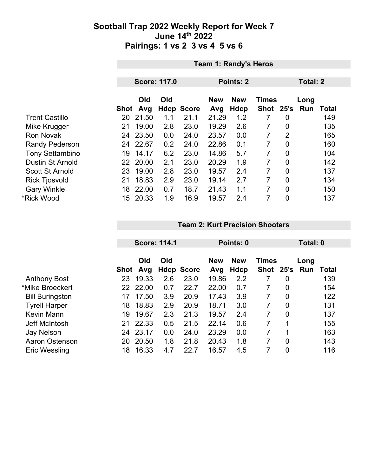|                         | <b>Team 1: Randy's Heros</b> |                     |     |                   |            |              |           |                |                 |              |
|-------------------------|------------------------------|---------------------|-----|-------------------|------------|--------------|-----------|----------------|-----------------|--------------|
|                         |                              |                     |     |                   |            |              |           |                |                 |              |
|                         |                              | <b>Score: 117.0</b> |     |                   | Points: 2  |              |           |                | <b>Total: 2</b> |              |
|                         | Old<br>Old                   |                     |     | <b>New</b>        | <b>New</b> | <b>Times</b> |           | Long           |                 |              |
|                         | Shot                         | Avg                 |     | <b>Hdcp Score</b> | Avg        | <b>Hdcp</b>  | Shot 25's |                | Run             | <b>Total</b> |
| <b>Trent Castillo</b>   | 20                           | 21.50               | 1.1 | 21.1              | 21.29      | 1.2          |           | 0              |                 | 149          |
| Mike Krugger            | 21                           | 19.00               | 2.8 | 23.0              | 19.29      | 2.6          | 7         | $\overline{0}$ |                 | 135          |
| <b>Ron Novak</b>        | 24                           | 23.50               | 0.0 | 24.0              | 23.57      | 0.0          | 7         | $\overline{2}$ |                 | 165          |
| <b>Randy Pederson</b>   |                              | 24 22.67            | 0.2 | 24.0              | 22.86      | 0.1          | 7         | 0              |                 | 160          |
| <b>Tony Settambino</b>  | 19                           | 14.17               | 6.2 | 23.0              | 14.86      | 5.7          | 7         | $\overline{0}$ |                 | 104          |
| <b>Dustin St Arnold</b> |                              | 22 20.00            | 2.1 | 23.0              | 20.29      | 1.9          | 7         | 0              |                 | 142          |
| <b>Scott St Arnold</b>  | 23                           | 19.00               | 2.8 | 23.0              | 19.57      | 2.4          | 7         | 0              |                 | 137          |
| <b>Rick Tjosvold</b>    | 21                           | 18.83               | 2.9 | 23.0              | 19.14      | 2.7          | 7         | $\overline{0}$ |                 | 134          |
| <b>Gary Winkle</b>      | 18                           | 22.00               | 0.7 | 18.7              | 21.43      | 1.1          | 7         | $\mathbf 0$    |                 | 150          |
| *Rick Wood              | 15                           | 20.33               | 1.9 | 16.9              | 19.57      | 2.4          | 7         | $\mathbf 0$    |                 | 137          |

#### **Team 2: Kurt Precision Shooters**

|                        | <b>Score: 114.1</b> |            |     | Points: 0         |                   |                    |                           | Total: 0       |             |              |
|------------------------|---------------------|------------|-----|-------------------|-------------------|--------------------|---------------------------|----------------|-------------|--------------|
|                        | Shot                | Old<br>Avg | Old | <b>Hdcp Score</b> | <b>New</b><br>Avg | <b>New</b><br>Hdcp | <b>Times</b><br>Shot 25's |                | Long<br>Run | <b>Total</b> |
| <b>Anthony Bost</b>    | 23                  | 19.33      | 2.6 | 23.0              | 19.86             | 2.2                |                           | 0              |             | 139          |
| *Mike Broeckert        | 22                  | 22.00      | 0.7 | 22.7              | 22.00             | 0.7                | 7                         | $\overline{0}$ |             | 154          |
| <b>Bill Buringston</b> | 17                  | 17.50      | 3.9 | 20.9              | 17.43             | 3.9                | 7                         | $\overline{0}$ |             | 122          |
| <b>Tyrell Harper</b>   | 18                  | 18.83      | 2.9 | 20.9              | 18.71             | 3.0                | 7                         | $\overline{0}$ |             | 131          |
| Kevin Mann             | 19                  | 19.67      | 2.3 | 21.3              | 19.57             | 2.4                | $\overline{7}$            | $\overline{0}$ |             | 137          |
| Jeff McIntosh          | 21                  | 22.33      | 0.5 | 21.5              | 22.14             | 0.6                | 7                         | 1              |             | 155          |
| <b>Jay Nelson</b>      | 24                  | 23.17      | 0.0 | 24.0              | 23.29             | 0.0                | 7                         | 1              |             | 163          |
| Aaron Ostenson         | 20                  | 20.50      | 1.8 | 21.8              | 20.43             | 1.8                | 7                         | $\overline{0}$ |             | 143          |
| Eric Wessling          | 18                  | 16.33      | 4.7 | 22.7              | 16.57             | 4.5                |                           | $\overline{0}$ |             | 116          |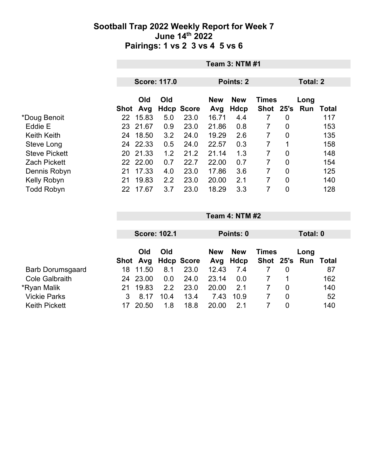|                      |          | <b>Team 3: NTM #1</b> |                     |                   |                   |                    |              |                |                       |       |
|----------------------|----------|-----------------------|---------------------|-------------------|-------------------|--------------------|--------------|----------------|-----------------------|-------|
|                      |          |                       | <b>Score: 117.0</b> |                   | Points: 2         |                    |              |                | <b>Total: 2</b>       |       |
|                      | Shot Avg | <b>Old</b>            | Old                 | <b>Hdcp Score</b> | <b>New</b><br>Avg | <b>New</b><br>Hdcp | <b>Times</b> |                | Long<br>Shot 25's Run | Total |
| *Doug Benoit         | 22       | 15.83                 | 5.0                 | 23.0              | 16.71             | 4.4                | 7            | $\overline{0}$ |                       | 117   |
| Eddie E              |          | 23 21.67              | 0.9                 | 23.0              | 21.86             | 0.8                | 7            | 0              |                       | 153   |
| <b>Keith Keith</b>   | 24.      | 18.50                 | 3.2                 | 24.0              | 19.29             | 2.6                | 7            | $\overline{0}$ |                       | 135   |
| Steve Long           |          | 24 22.33              | 0.5                 | 24.0              | 22.57             | 0.3                | 7            | 1              |                       | 158   |
| <b>Steve Pickett</b> |          | 20 21.33              | 1.2                 | 21.2              | 21.14             | 1.3                | 7            | $\overline{0}$ |                       | 148   |
| <b>Zach Pickett</b>  |          | 22 22.00              | 0.7                 | 22.7              | 22.00             | 0.7                | 7            | $\overline{0}$ |                       | 154   |
| Dennis Robyn         | 21       | 17.33                 | 4.0                 | 23.0              | 17.86             | 3.6                | 7            | 0              |                       | 125   |
| Kelly Robyn          | 21       | 19.83                 | 2.2                 | 23.0              | 20.00             | 2.1                | 7            | $\overline{0}$ |                       | 140   |
| <b>Todd Robyn</b>    | 22       | 17.67                 | 3.7                 | 23.0              | 18.29             | 3.3                | 7            | 0              |                       | 128   |

|                         |    |                     |      |                   | Points: 0         |                    |                               |   |      |       |
|-------------------------|----|---------------------|------|-------------------|-------------------|--------------------|-------------------------------|---|------|-------|
|                         |    | <b>Score: 102.1</b> |      |                   |                   |                    | Total: 0                      |   |      |       |
|                         |    | Old<br>Shot Avg     | Old  | <b>Hdcp Score</b> | <b>New</b><br>Avg | <b>New</b><br>Hdcp | <b>Times</b><br>Shot 25's Run |   | Long | Total |
| <b>Barb Dorumsgaard</b> | 18 | 11.50               | 8.1  | 23.0              | 12.43             | 7.4                |                               | 0 |      | 87    |
| <b>Cole Galbraith</b>   | 24 | 23.00               | 0.0  | 24.0              | 23.14             | 0.0                |                               |   |      | 162   |
| *Ryan Malik             | 21 | 19.83               | 2.2  | 23.0              | 20.00             | 2.1                |                               | 0 |      | 140   |
| <b>Vickie Parks</b>     | 3  | 8.17                | 10.4 | 13.4              | 7.43              | 10.9               |                               | 0 |      | 52    |
| <b>Keith Pickett</b>    |    | 20.50               | 1.8  | 18.8              | 20.00             | 2.1                |                               | 0 |      | 140   |

**Team 4: NTM #2**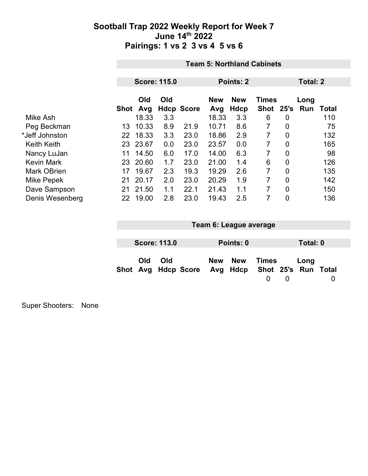|                    |      | <b>Team 5: Northland Cabinets</b> |                     |                   |                   |                    |                           |                |             |              |  |
|--------------------|------|-----------------------------------|---------------------|-------------------|-------------------|--------------------|---------------------------|----------------|-------------|--------------|--|
|                    |      |                                   |                     |                   |                   |                    |                           |                |             |              |  |
|                    |      |                                   | <b>Score: 115.0</b> |                   | Points: 2         |                    |                           |                | Total: 2    |              |  |
|                    | Shot | Old<br>Avg                        | Old                 | <b>Hdcp Score</b> | <b>New</b><br>Avg | <b>New</b><br>Hdcp | <b>Times</b><br>Shot 25's |                | Long<br>Run | <b>Total</b> |  |
| Mike Ash           |      | 18.33                             | 3.3                 |                   | 18.33             | 3.3                | 6                         | 0              |             | 110          |  |
| Peg Beckman        | 13   | 10.33                             | 8.9                 | 21.9              | 10.71             | 8.6                | 7                         | $\overline{0}$ |             | 75           |  |
| *Jeff Johnston     | 22   | 18.33                             | 3.3                 | 23.0              | 18.86             | 2.9                | 7                         | $\overline{0}$ |             | 132          |  |
| <b>Keith Keith</b> |      | 23 23.67                          | 0.0                 | 23.0              | 23.57             | 0.0                | 7                         | 0              |             | 165          |  |
| Nancy LuJan        | 11   | 14.50                             | 6.0                 | 17.0              | 14.00             | 6.3                | 7                         | $\overline{0}$ |             | 98           |  |
| <b>Kevin Mark</b>  | 23   | 20.60                             | 1.7                 | 23.0              | 21.00             | 1.4                | 6                         | $\overline{0}$ |             | 126          |  |
| <b>Mark OBrien</b> | 17   | 19.67                             | 2.3                 | 19.3              | 19.29             | 2.6                | 7                         | 0              |             | 135          |  |
| Mike Pepek         | 21   | 20.17                             | 2.0                 | 23.0              | 20.29             | 1.9                | 7                         | $\overline{0}$ |             | 142          |  |
| Dave Sampson       | 21   | 21.50                             | 1.1                 | 22.1              | 21.43             | 1.1                | 7                         | $\overline{0}$ |             | 150          |  |
| Denis Wesenberg    | 22   | 19.00                             | 2.8                 | 23.0              | 19.43             | 2.5                | 7                         | $\overline{0}$ |             | 136          |  |

| Team 6: League average |                     |                                                  |  |           |       |          |          |  |
|------------------------|---------------------|--------------------------------------------------|--|-----------|-------|----------|----------|--|
|                        |                     |                                                  |  |           |       |          |          |  |
|                        | <b>Score: 113.0</b> |                                                  |  | Points: 0 |       |          | Total: 0 |  |
| <b>Old</b>             | Old                 | Shot Avg Hdcp Score Avg Hdcp Shot 25's Run Total |  | New New   | Times | $\left($ | Long     |  |

Super Shooters: None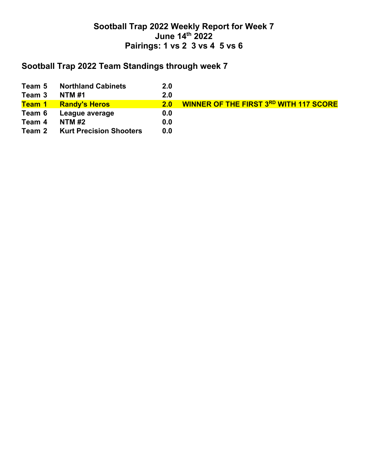## **Sootball Trap 2022 Team Standings through week 7**

| Team 5              | <b>Northland Cabinets</b>      | 2.0 |                                               |
|---------------------|--------------------------------|-----|-----------------------------------------------|
| Team 3              | <b>NTM #1</b>                  | 2.0 |                                               |
| <mark>Team 1</mark> | <b>Randy's Heros</b>           | 2.0 | <b>WINNER OF THE FIRST 3RD WITH 117 SCORE</b> |
| Team 6              | League average                 | 0.0 |                                               |
| Team 4              | <b>NTM#2</b>                   | 0.0 |                                               |
| Team 2              | <b>Kurt Precision Shooters</b> | 0.0 |                                               |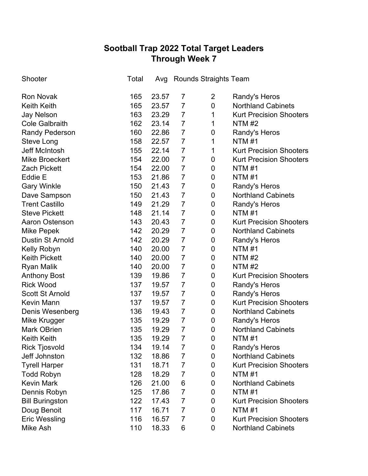# **Sootball Trap 2022 Total Target Leaders Through Week 7**

| Shooter                 | Total |       |                | Avg Rounds Straights Team |                                |
|-------------------------|-------|-------|----------------|---------------------------|--------------------------------|
| <b>Ron Novak</b>        | 165   | 23.57 | 7              | $\overline{2}$            | Randy's Heros                  |
| <b>Keith Keith</b>      | 165   | 23.57 | 7              | $\mathbf 0$               | <b>Northland Cabinets</b>      |
| <b>Jay Nelson</b>       | 163   | 23.29 | $\overline{7}$ | 1                         | <b>Kurt Precision Shooters</b> |
| <b>Cole Galbraith</b>   | 162   | 23.14 | $\overline{7}$ | 1                         | NTM $#2$                       |
| <b>Randy Pederson</b>   | 160   | 22.86 | $\overline{7}$ | 0                         | Randy's Heros                  |
| Steve Long              | 158   | 22.57 | $\overline{7}$ | 1                         | NTM #1                         |
| <b>Jeff McIntosh</b>    | 155   | 22.14 | $\overline{7}$ | 1                         | <b>Kurt Precision Shooters</b> |
| <b>Mike Broeckert</b>   | 154   | 22.00 | $\overline{7}$ | 0                         | <b>Kurt Precision Shooters</b> |
| <b>Zach Pickett</b>     | 154   | 22.00 | $\overline{7}$ | 0                         | <b>NTM#1</b>                   |
| Eddie E                 | 153   | 21.86 | $\overline{7}$ | $\pmb{0}$                 | <b>NTM#1</b>                   |
| <b>Gary Winkle</b>      | 150   | 21.43 | $\overline{7}$ | 0                         | Randy's Heros                  |
| Dave Sampson            | 150   | 21.43 | $\overline{7}$ | 0                         | <b>Northland Cabinets</b>      |
| <b>Trent Castillo</b>   | 149   | 21.29 | $\overline{7}$ | 0                         | Randy's Heros                  |
| <b>Steve Pickett</b>    | 148   | 21.14 | $\overline{7}$ | $\pmb{0}$                 | NTM #1                         |
| <b>Aaron Ostenson</b>   | 143   | 20.43 | $\overline{7}$ | $\mathbf 0$               | <b>Kurt Precision Shooters</b> |
| Mike Pepek              | 142   | 20.29 | $\overline{7}$ | $\pmb{0}$                 | <b>Northland Cabinets</b>      |
| <b>Dustin St Arnold</b> | 142   | 20.29 | $\overline{7}$ | 0                         | Randy's Heros                  |
| Kelly Robyn             | 140   | 20.00 | $\overline{7}$ | $\pmb{0}$                 | <b>NTM#1</b>                   |
| <b>Keith Pickett</b>    | 140   | 20.00 | $\overline{7}$ | 0                         | <b>NTM#2</b>                   |
| <b>Ryan Malik</b>       | 140   | 20.00 | $\overline{7}$ | 0                         | <b>NTM #2</b>                  |
| <b>Anthony Bost</b>     | 139   | 19.86 | $\overline{7}$ | 0                         | <b>Kurt Precision Shooters</b> |
| <b>Rick Wood</b>        | 137   | 19.57 | $\overline{7}$ | 0                         | Randy's Heros                  |
| <b>Scott St Arnold</b>  | 137   | 19.57 | 7              | 0                         | Randy's Heros                  |
| <b>Kevin Mann</b>       | 137   | 19.57 | $\overline{7}$ | 0                         | <b>Kurt Precision Shooters</b> |
| Denis Wesenberg         | 136   | 19.43 | $\overline{7}$ | 0                         | <b>Northland Cabinets</b>      |
| Mike Krugger            | 135   | 19.29 | $\overline{7}$ | 0                         | Randy's Heros                  |
| <b>Mark OBrien</b>      | 135   | 19.29 | $\overline{7}$ | 0                         | <b>Northland Cabinets</b>      |
| <b>Keith Keith</b>      | 135   | 19.29 | $\overline{7}$ | 0                         | <b>NTM#1</b>                   |
| <b>Rick Tjosvold</b>    | 134   | 19.14 | 7              | 0                         | Randy's Heros                  |
| Jeff Johnston           | 132   | 18.86 | 7              | 0                         | <b>Northland Cabinets</b>      |
| <b>Tyrell Harper</b>    | 131   | 18.71 | 7              | 0                         | <b>Kurt Precision Shooters</b> |
| <b>Todd Robyn</b>       | 128   | 18.29 | $\overline{7}$ | 0                         | <b>NTM#1</b>                   |
| <b>Kevin Mark</b>       | 126   | 21.00 | 6              | 0                         | <b>Northland Cabinets</b>      |
| Dennis Robyn            | 125   | 17.86 | $\overline{7}$ | 0                         | <b>NTM#1</b>                   |
| <b>Bill Buringston</b>  | 122   | 17.43 | $\overline{7}$ | 0                         | <b>Kurt Precision Shooters</b> |
| Doug Benoit             | 117   | 16.71 | $\overline{7}$ | 0                         | <b>NTM#1</b>                   |
| <b>Eric Wessling</b>    | 116   | 16.57 | $\overline{7}$ | 0                         | <b>Kurt Precision Shooters</b> |
| Mike Ash                | 110   | 18.33 | 6              | 0                         | <b>Northland Cabinets</b>      |